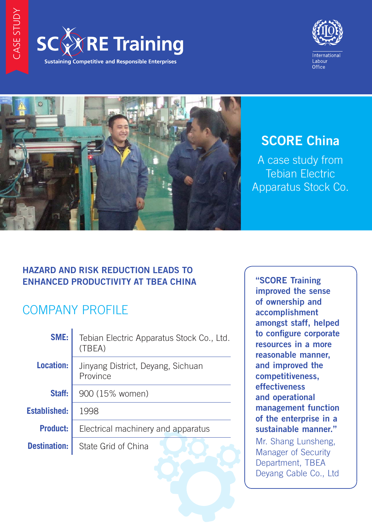





## **SCORE China**

A case study from Tebian Electric Apparatus Stock Co.

## **HAZARD AND RISK REDUCTION LEADS TO ENHANCED PRODUCTIVITY AT TBEA CHINA**

# COMPANY PROFILE

| SME:                | Tebian Electric Apparatus Stock Co., Ltd.<br>(TBEA) |
|---------------------|-----------------------------------------------------|
| <b>Location:</b>    | Jinyang District, Deyang, Sichuan<br>Province       |
| Staff:              | 900 (15% women)                                     |
| <b>Established:</b> | 1998                                                |
| <b>Product:</b>     | Electrical machinery and apparatus                  |
| <b>Destination:</b> | State Grid of China                                 |
|                     |                                                     |

"SCORE Training improved the sense of ownership and accomplishment amongst staff, helped to configure corporate resources in a more reasonable manner, and improved the competitiveness, effectiveness and operational management function of the enterprise in a sustainable manner." Mr. Shang Lunsheng, Manager of Security Department, TBEA Deyang Cable Co., Ltd